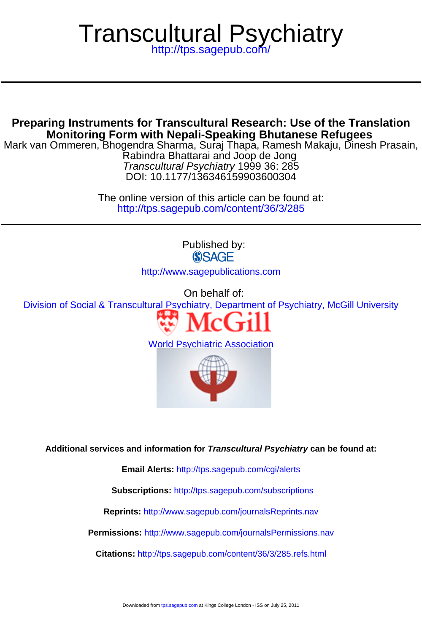# Transcultural Psychiatry

<http://tps.sagepub.com/>

# **Monitoring Form with Nepali-Speaking Bhutanese Refugees Preparing Instruments for Transcultural Research: Use of the Translation**

DOI: 10.1177/136346159903600304 Transcultural Psychiatry 1999 36: 285 Rabindra Bhattarai and Joop de Jong Mark van Ommeren, Bhogendra Sharma, Suraj Thapa, Ramesh Makaju, Dinesh Prasain,

> <http://tps.sagepub.com/content/36/3/285> The online version of this article can be found at:

> > Published by: **SSAGE** <http://www.sagepublications.com>

> > > On behalf of:

[Division of Social & Transcultural Psychiatry, Department of Psychiatry, McGill University](http://www.mcgill.ca/tcpsych/)



[World Psychiatric Association](http://www.wpanet.org/detail.php?section_id=11&content_id=574)



**Additional services and information for Transcultural Psychiatry can be found at:**

**Email Alerts:** <http://tps.sagepub.com/cgi/alerts>

**Subscriptions:** <http://tps.sagepub.com/subscriptions>

**Reprints:** <http://www.sagepub.com/journalsReprints.nav>

**Permissions:** <http://www.sagepub.com/journalsPermissions.nav>

**Citations:** <http://tps.sagepub.com/content/36/3/285.refs.html>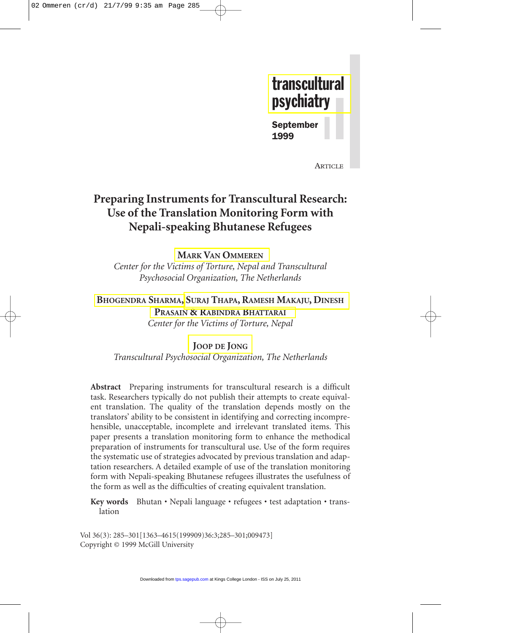

September 1999

**ARTICLE** 

# **Preparing Instruments for Transcultural Research: Use of the Translation Monitoring Form with Nepali-speaking Bhutanese Refugees**

# **MARK VAN [OMMEREN](#page-16-0)**

*Center for the Victims of Torture, Nepal and Transcultural Psychosocial Organization, The Netherlands*

# **[BHOGENDRA](#page-16-0) SHARMA, SURAJ THAPA, RAMESH [MAKAJU, DINESH](#page-17-0) PRASAIN [& RABINDRA](#page-17-0) BHATTARAI**

*Center for the Victims of Torture, Nepal*

## **[JOOP DE](#page-17-0) JONG**

*Transcultural Psychosocial Organization, The Netherlands*

**Abstract** Preparing instruments for transcultural research is a difficult task. Researchers typically do not publish their attempts to create equivalent translation. The quality of the translation depends mostly on the translators' ability to be consistent in identifying and correcting incomprehensible, unacceptable, incomplete and irrelevant translated items. This paper presents a translation monitoring form to enhance the methodical preparation of instruments for transcultural use. Use of the form requires the systematic use of strategies advocated by previous translation and adaptation researchers. A detailed example of use of the translation monitoring form with Nepali-speaking Bhutanese refugees illustrates the usefulness of the form as well as the difficulties of creating equivalent translation.

**Key words** Bhutan • Nepali language • refugees • test adaptation • translation

Vol 36(3): 285–301[1363–4615(199909)36:3;285–301;009473] Copyright © 1999 McGill University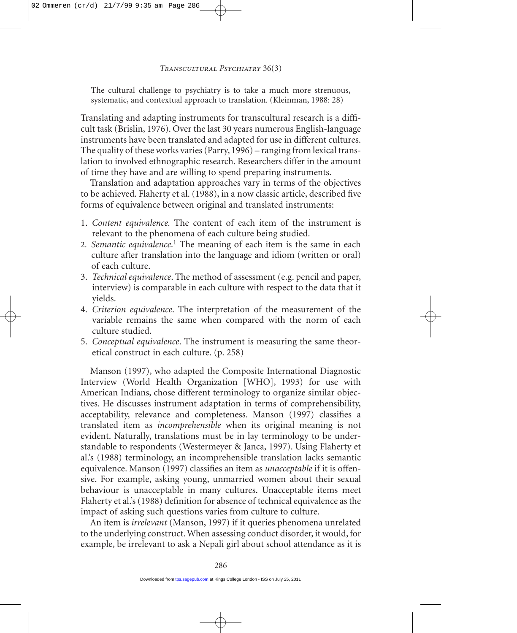The cultural challenge to psychiatry is to take a much more strenuous, systematic, and contextual approach to translation. (Kleinman, 1988: 28)

Translating and adapting instruments for transcultural research is a difficult task (Brislin, 1976). Over the last 30 years numerous English-language instruments have been translated and adapted for use in different cultures. The quality of these works varies (Parry, 1996) – ranging from lexical translation to involved ethnographic research. Researchers differ in the amount of time they have and are willing to spend preparing instruments.

Translation and adaptation approaches vary in terms of the objectives to be achieved. Flaherty et al. (1988), in a now classic article, described five forms of equivalence between original and translated instruments:

- 1. *Content equivalence.* The content of each item of the instrument is relevant to the phenomena of each culture being studied.
- 2. *Semantic equivalence*. <sup>1</sup> The meaning of each item is the same in each culture after translation into the language and idiom (written or oral) of each culture.
- 3. *Technical equivalence*. The method of assessment (e.g. pencil and paper, interview) is comparable in each culture with respect to the data that it yields.
- 4. *Criterion equivalence*. The interpretation of the measurement of the variable remains the same when compared with the norm of each culture studied.
- 5. *Conceptual equivalence*. The instrument is measuring the same theoretical construct in each culture. (p. 258)

Manson (1997), who adapted the Composite International Diagnostic Interview (World Health Organization [WHO], 1993) for use with American Indians, chose different terminology to organize similar objectives. He discusses instrument adaptation in terms of comprehensibility, acceptability, relevance and completeness. Manson (1997) classifies a translated item as *incomprehensible* when its original meaning is not evident. Naturally, translations must be in lay terminology to be understandable to respondents (Westermeyer & Janca, 1997). Using Flaherty et al.'s (1988) terminology, an incomprehensible translation lacks semantic equivalence. Manson (1997) classifies an item as *unacceptable* if it is offensive. For example, asking young, unmarried women about their sexual behaviour is unacceptable in many cultures. Unacceptable items meet Flaherty et al.'s (1988) definition for absence of technical equivalence as the impact of asking such questions varies from culture to culture.

An item is *irrelevant* (Manson, 1997) if it queries phenomena unrelated to the underlying construct. When assessing conduct disorder, it would, for example, be irrelevant to ask a Nepali girl about school attendance as it is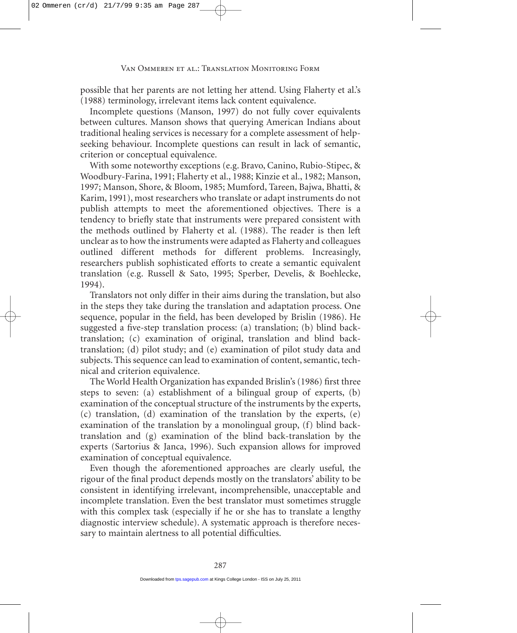possible that her parents are not letting her attend. Using Flaherty et al.'s (1988) terminology, irrelevant items lack content equivalence.

Incomplete questions (Manson, 1997) do not fully cover equivalents between cultures. Manson shows that querying American Indians about traditional healing services is necessary for a complete assessment of helpseeking behaviour. Incomplete questions can result in lack of semantic, criterion or conceptual equivalence.

With some noteworthy exceptions (e.g. Bravo, Canino, Rubio-Stipec, & Woodbury-Farina, 1991; Flaherty et al., 1988; Kinzie et al., 1982; Manson, 1997; Manson, Shore, & Bloom, 1985; Mumford, Tareen, Bajwa, Bhatti, & Karim, 1991), most researchers who translate or adapt instruments do not publish attempts to meet the aforementioned objectives. There is a tendency to briefly state that instruments were prepared consistent with the methods outlined by Flaherty et al. (1988). The reader is then left unclear as to how the instruments were adapted as Flaherty and colleagues outlined different methods for different problems. Increasingly, researchers publish sophisticated efforts to create a semantic equivalent translation (e.g. Russell & Sato, 1995; Sperber, Develis, & Boehlecke, 1994).

Translators not only differ in their aims during the translation, but also in the steps they take during the translation and adaptation process. One sequence, popular in the field, has been developed by Brislin (1986). He suggested a five-step translation process: (a) translation; (b) blind backtranslation; (c) examination of original, translation and blind backtranslation; (d) pilot study; and (e) examination of pilot study data and subjects. This sequence can lead to examination of content, semantic, technical and criterion equivalence.

The World Health Organization has expanded Brislin's (1986) first three steps to seven: (a) establishment of a bilingual group of experts, (b) examination of the conceptual structure of the instruments by the experts, (c) translation, (d) examination of the translation by the experts, (e) examination of the translation by a monolingual group, (f) blind backtranslation and (g) examination of the blind back-translation by the experts (Sartorius & Janca, 1996). Such expansion allows for improved examination of conceptual equivalence.

Even though the aforementioned approaches are clearly useful, the rigour of the final product depends mostly on the translators' ability to be consistent in identifying irrelevant, incomprehensible, unacceptable and incomplete translation. Even the best translator must sometimes struggle with this complex task (especially if he or she has to translate a lengthy diagnostic interview schedule). A systematic approach is therefore necessary to maintain alertness to all potential difficulties.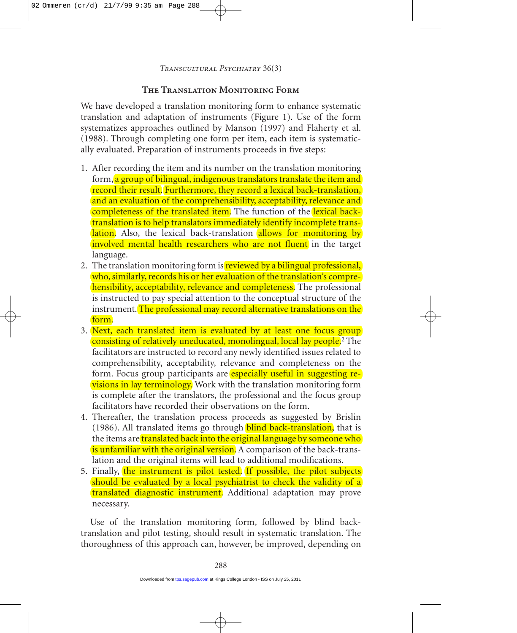# **The Translation Monitoring Form**

We have developed a translation monitoring form to enhance systematic translation and adaptation of instruments (Figure 1). Use of the form systematizes approaches outlined by Manson (1997) and Flaherty et al. (1988). Through completing one form per item, each item is systematically evaluated. Preparation of instruments proceeds in five steps:

- 1. After recording the item and its number on the translation monitoring form, a group of bilingual, indigenous translators translate the item and record their result. Furthermore, they record a lexical back-translation, and an evaluation of the comprehensibility, acceptability, relevance and completeness of the translated item. The function of the lexical backtranslation is to help translators immediately identify incomplete translation. Also, the lexical back-translation allows for monitoring by involved mental health researchers who are not fluent in the target language.
- 2. The translation monitoring form is reviewed by a bilingual professional, who, similarly, records his or her evaluation of the translation's comprehensibility, acceptability, relevance and completeness. The professional is instructed to pay special attention to the conceptual structure of the instrument. The professional may record alternative translations on the form.
- 3. Next, each translated item is evaluated by at least one focus group consisting of relatively uneducated, monolingual, local lay people.<sup>2</sup> The facilitators are instructed to record any newly identified issues related to comprehensibility, acceptability, relevance and completeness on the form. Focus group participants are **especially useful in suggesting revisions in lay terminology.** Work with the translation monitoring form is complete after the translators, the professional and the focus group facilitators have recorded their observations on the form.
- 4. Thereafter, the translation process proceeds as suggested by Brislin  $(1986)$ . All translated items go through **blind back-translation**, that is the items are translated back into the original language by someone who is unfamiliar with the original version. A comparison of the back-translation and the original items will lead to additional modifications.
- 5. Finally, the instrument is pilot tested. If possible, the pilot subjects should be evaluated by a local psychiatrist to check the validity of a translated diagnostic instrument. Additional adaptation may prove necessary.

Use of the translation monitoring form, followed by blind backtranslation and pilot testing, should result in systematic translation. The thoroughness of this approach can, however, be improved, depending on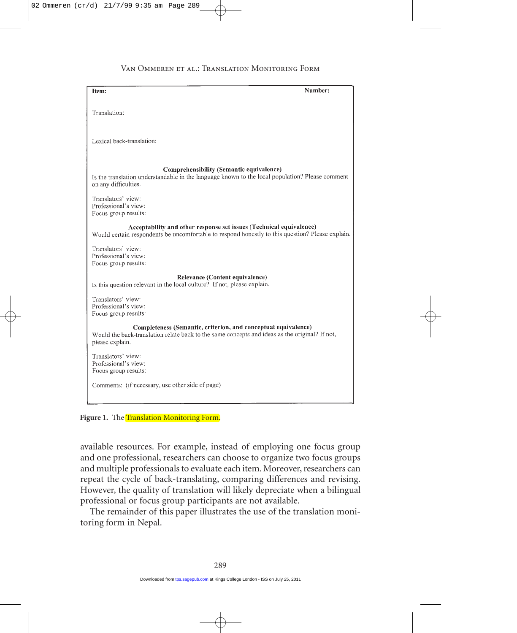| Item:                                                                                            | Number: |
|--------------------------------------------------------------------------------------------------|---------|
|                                                                                                  |         |
| Translation:                                                                                     |         |
|                                                                                                  |         |
|                                                                                                  |         |
| Lexical back-translation:                                                                        |         |
|                                                                                                  |         |
|                                                                                                  |         |
| Comprehensibility (Semantic equivalence)                                                         |         |
| Is the translation understandable in the language known to the local population? Please comment  |         |
| on any difficulties.                                                                             |         |
| Translators' view:                                                                               |         |
| Professional's view:                                                                             |         |
| Focus group results:                                                                             |         |
| Acceptability and other response set issues (Technical equivalence)                              |         |
| Would certain respondents be uncomfortable to respond honestly to this question? Please explain. |         |
|                                                                                                  |         |
| Translators' view:                                                                               |         |
| Professional's view:<br>Focus group results:                                                     |         |
|                                                                                                  |         |
| Relevance (Content equivalence)                                                                  |         |
| Is this question relevant in the local culture? If not, please explain.                          |         |
| Translators' view:                                                                               |         |
| Professional's view:                                                                             |         |
| Focus group results:                                                                             |         |
| Completeness (Semantic, criterion, and conceptual equivalence)                                   |         |
| Would the back-translation relate back to the same concepts and ideas as the original? If not,   |         |
| please explain.                                                                                  |         |
| Translators' view:                                                                               |         |
| Professional's view:                                                                             |         |
| Focus group results:                                                                             |         |
|                                                                                                  |         |
| Comments: (if necessary, use other side of page)                                                 |         |
|                                                                                                  |         |

Figure 1. The Translation Monitoring Form.

available resources. For example, instead of employing one focus group and one professional, researchers can choose to organize two focus groups and multiple professionals to evaluate each item. Moreover, researchers can repeat the cycle of back-translating, comparing differences and revising. However, the quality of translation will likely depreciate when a bilingual professional or focus group participants are not available.

The remainder of this paper illustrates the use of the translation monitoring form in Nepal.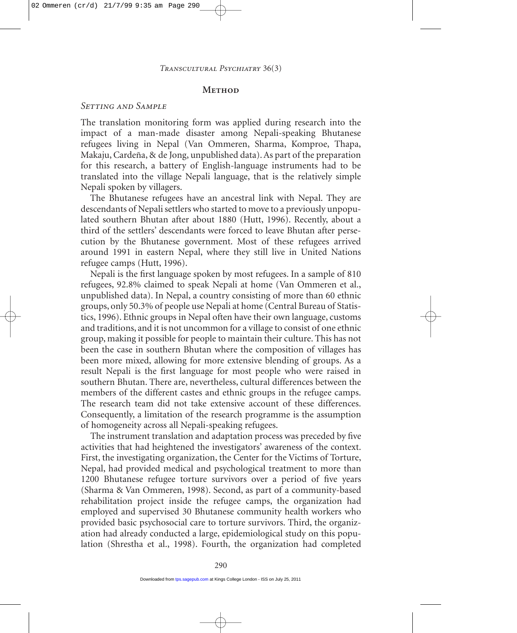#### **METHOD**

#### *Setting and Sample*

The translation monitoring form was applied during research into the impact of a man-made disaster among Nepali-speaking Bhutanese refugees living in Nepal (Van Ommeren, Sharma, Komproe, Thapa, Makaju, Cardeña, & de Jong, unpublished data). As part of the preparation for this research, a battery of English-language instruments had to be translated into the village Nepali language, that is the relatively simple Nepali spoken by villagers.

The Bhutanese refugees have an ancestral link with Nepal. They are descendants of Nepali settlers who started to move to a previously unpopulated southern Bhutan after about 1880 (Hutt, 1996). Recently, about a third of the settlers' descendants were forced to leave Bhutan after persecution by the Bhutanese government. Most of these refugees arrived around 1991 in eastern Nepal, where they still live in United Nations refugee camps (Hutt, 1996).

Nepali is the first language spoken by most refugees. In a sample of 810 refugees, 92.8% claimed to speak Nepali at home (Van Ommeren et al., unpublished data). In Nepal, a country consisting of more than 60 ethnic groups, only 50.3% of people use Nepali at home (Central Bureau of Statistics, 1996). Ethnic groups in Nepal often have their own language, customs and traditions, and it is not uncommon for a village to consist of one ethnic group, making it possible for people to maintain their culture. This has not been the case in southern Bhutan where the composition of villages has been more mixed, allowing for more extensive blending of groups. As a result Nepali is the first language for most people who were raised in southern Bhutan. There are, nevertheless, cultural differences between the members of the different castes and ethnic groups in the refugee camps. The research team did not take extensive account of these differences. Consequently, a limitation of the research programme is the assumption of homogeneity across all Nepali-speaking refugees.

The instrument translation and adaptation process was preceded by five activities that had heightened the investigators' awareness of the context. First, the investigating organization, the Center for the Victims of Torture, Nepal, had provided medical and psychological treatment to more than 1200 Bhutanese refugee torture survivors over a period of five years (Sharma & Van Ommeren, 1998). Second, as part of a community-based rehabilitation project inside the refugee camps, the organization had employed and supervised 30 Bhutanese community health workers who provided basic psychosocial care to torture survivors. Third, the organization had already conducted a large, epidemiological study on this population (Shrestha et al., 1998). Fourth, the organization had completed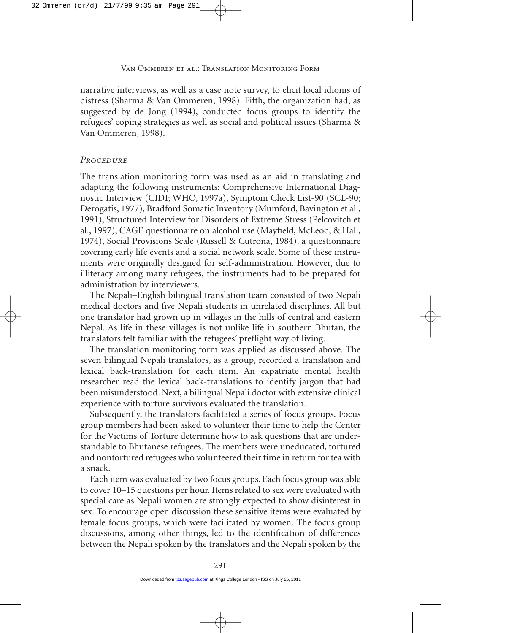narrative interviews, as well as a case note survey, to elicit local idioms of distress (Sharma & Van Ommeren, 1998). Fifth, the organization had, as suggested by de Jong (1994), conducted focus groups to identify the refugees' coping strategies as well as social and political issues (Sharma & Van Ommeren, 1998).

#### *Procedure*

The translation monitoring form was used as an aid in translating and adapting the following instruments: Comprehensive International Diagnostic Interview (CIDI; WHO, 1997a), Symptom Check List-90 (SCL-90; Derogatis, 1977), Bradford Somatic Inventory (Mumford, Bavington et al., 1991), Structured Interview for Disorders of Extreme Stress (Pelcovitch et al., 1997), CAGE questionnaire on alcohol use (Mayfield, McLeod, & Hall, 1974), Social Provisions Scale (Russell & Cutrona, 1984), a questionnaire covering early life events and a social network scale. Some of these instruments were originally designed for self-administration. However, due to illiteracy among many refugees, the instruments had to be prepared for administration by interviewers.

The Nepali–English bilingual translation team consisted of two Nepali medical doctors and five Nepali students in unrelated disciplines. All but one translator had grown up in villages in the hills of central and eastern Nepal. As life in these villages is not unlike life in southern Bhutan, the translators felt familiar with the refugees' preflight way of living.

The translation monitoring form was applied as discussed above. The seven bilingual Nepali translators, as a group, recorded a translation and lexical back-translation for each item. An expatriate mental health researcher read the lexical back-translations to identify jargon that had been misunderstood. Next, a bilingual Nepali doctor with extensive clinical experience with torture survivors evaluated the translation.

Subsequently, the translators facilitated a series of focus groups. Focus group members had been asked to volunteer their time to help the Center for the Victims of Torture determine how to ask questions that are understandable to Bhutanese refugees. The members were uneducated, tortured and nontortured refugees who volunteered their time in return for tea with a snack.

Each item was evaluated by two focus groups. Each focus group was able to cover 10–15 questions per hour. Items related to sex were evaluated with special care as Nepali women are strongly expected to show disinterest in sex. To encourage open discussion these sensitive items were evaluated by female focus groups, which were facilitated by women. The focus group discussions, among other things, led to the identification of differences between the Nepali spoken by the translators and the Nepali spoken by the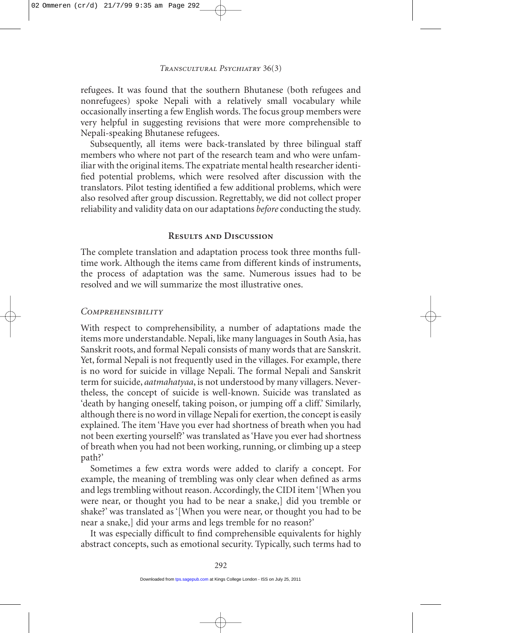refugees. It was found that the southern Bhutanese (both refugees and nonrefugees) spoke Nepali with a relatively small vocabulary while occasionally inserting a few English words. The focus group members were very helpful in suggesting revisions that were more comprehensible to Nepali-speaking Bhutanese refugees.

Subsequently, all items were back-translated by three bilingual staff members who where not part of the research team and who were unfamiliar with the original items. The expatriate mental health researcher identified potential problems, which were resolved after discussion with the translators. Pilot testing identified a few additional problems, which were also resolved after group discussion. Regrettably, we did not collect proper reliability and validity data on our adaptations *before* conducting the study.

## **Results and Discussion**

The complete translation and adaptation process took three months fulltime work. Although the items came from different kinds of instruments, the process of adaptation was the same. Numerous issues had to be resolved and we will summarize the most illustrative ones.

# *Comprehensibility*

With respect to comprehensibility, a number of adaptations made the items more understandable. Nepali, like many languages in South Asia, has Sanskrit roots, and formal Nepali consists of many words that are Sanskrit. Yet, formal Nepali is not frequently used in the villages. For example, there is no word for suicide in village Nepali. The formal Nepali and Sanskrit term for suicide, *aatmahatyaa*, is not understood by many villagers. Nevertheless, the concept of suicide is well-known. Suicide was translated as 'death by hanging oneself, taking poison, or jumping off a cliff.' Similarly, although there is no word in village Nepali for exertion, the concept is easily explained. The item 'Have you ever had shortness of breath when you had not been exerting yourself?' was translated as 'Have you ever had shortness of breath when you had not been working, running, or climbing up a steep path?'

Sometimes a few extra words were added to clarify a concept. For example, the meaning of trembling was only clear when defined as arms and legs trembling without reason. Accordingly, the CIDI item '[When you were near, or thought you had to be near a snake,] did you tremble or shake?' was translated as '[When you were near, or thought you had to be near a snake,] did your arms and legs tremble for no reason?'

It was especially difficult to find comprehensible equivalents for highly abstract concepts, such as emotional security. Typically, such terms had to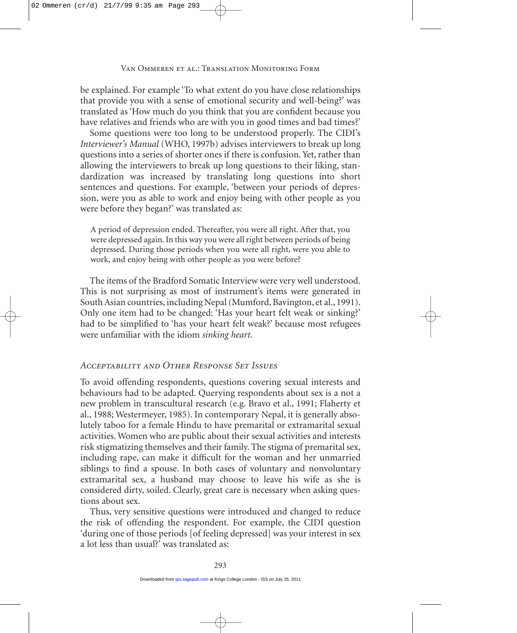be explained. For example 'To what extent do you have close relationships that provide you with a sense of emotional security and well-being?' was translated as 'How much do you think that you are confident because you have relatives and friends who are with you in good times and bad times?'

Some questions were too long to be understood properly. The CIDI's *Interviewer's Manual* (WHO, 1997b) advises interviewers to break up long questions into a series of shorter ones if there is confusion. Yet, rather than allowing the interviewers to break up long questions to their liking, standardization was increased by translating long questions into short sentences and questions. For example, 'between your periods of depression, were you as able to work and enjoy being with other people as you were before they began?' was translated as:

A period of depression ended. Thereafter, you were all right. After that, you were depressed again. In this way you were all right between periods of being depressed. During those periods when you were all right, were you able to work, and enjoy being with other people as you were before?

The items of the Bradford Somatic Interview were very well understood. This is not surprising as most of instrument's items were generated in South Asian countries, including Nepal (Mumford, Bavington, et al., 1991). Only one item had to be changed: 'Has your heart felt weak or sinking?' had to be simplified to 'has your heart felt weak?' because most refugees were unfamiliar with the idiom *sinking heart*.

# *Acceptability and Other Response Set Issues*

To avoid offending respondents, questions covering sexual interests and behaviours had to be adapted. Querying respondents about sex is a not a new problem in transcultural research (e.g. Bravo et al., 1991; Flaherty et al., 1988; Westermeyer, 1985). In contemporary Nepal, it is generally absolutely taboo for a female Hindu to have premarital or extramarital sexual activities. Women who are public about their sexual activities and interests risk stigmatizing themselves and their family. The stigma of premarital sex, including rape, can make it difficult for the woman and her unmarried siblings to find a spouse. In both cases of voluntary and nonvoluntary extramarital sex, a husband may choose to leave his wife as she is considered dirty, soiled. Clearly, great care is necessary when asking questions about sex.

Thus, very sensitive questions were introduced and changed to reduce the risk of offending the respondent. For example, the CIDI question 'during one of those periods [of feeling depressed] was your interest in sex a lot less than usual?' was translated as: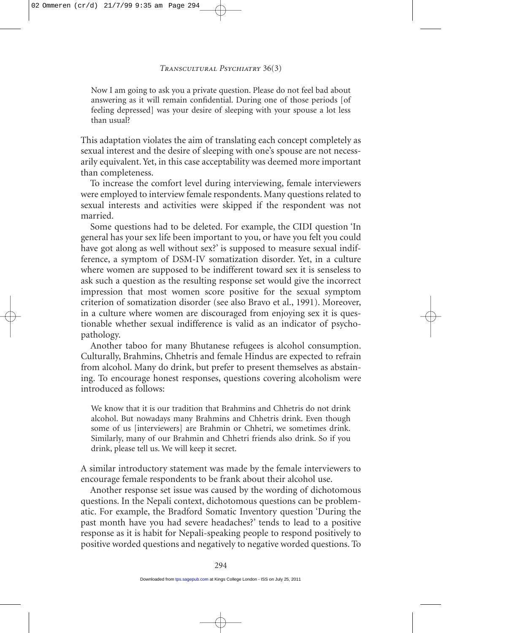Now I am going to ask you a private question. Please do not feel bad about answering as it will remain confidential. During one of those periods [of feeling depressed] was your desire of sleeping with your spouse a lot less than usual?

This adaptation violates the aim of translating each concept completely as sexual interest and the desire of sleeping with one's spouse are not necessarily equivalent. Yet, in this case acceptability was deemed more important than completeness.

To increase the comfort level during interviewing, female interviewers were employed to interview female respondents. Many questions related to sexual interests and activities were skipped if the respondent was not married.

Some questions had to be deleted. For example, the CIDI question 'In general has your sex life been important to you, or have you felt you could have got along as well without sex?' is supposed to measure sexual indifference, a symptom of DSM-IV somatization disorder. Yet, in a culture where women are supposed to be indifferent toward sex it is senseless to ask such a question as the resulting response set would give the incorrect impression that most women score positive for the sexual symptom criterion of somatization disorder (see also Bravo et al., 1991). Moreover, in a culture where women are discouraged from enjoying sex it is questionable whether sexual indifference is valid as an indicator of psychopathology.

Another taboo for many Bhutanese refugees is alcohol consumption. Culturally, Brahmins, Chhetris and female Hindus are expected to refrain from alcohol. Many do drink, but prefer to present themselves as abstaining. To encourage honest responses, questions covering alcoholism were introduced as follows:

We know that it is our tradition that Brahmins and Chhetris do not drink alcohol. But nowadays many Brahmins and Chhetris drink. Even though some of us [interviewers] are Brahmin or Chhetri, we sometimes drink. Similarly, many of our Brahmin and Chhetri friends also drink. So if you drink, please tell us. We will keep it secret.

A similar introductory statement was made by the female interviewers to encourage female respondents to be frank about their alcohol use.

Another response set issue was caused by the wording of dichotomous questions. In the Nepali context, dichotomous questions can be problematic. For example, the Bradford Somatic Inventory question 'During the past month have you had severe headaches?' tends to lead to a positive response as it is habit for Nepali-speaking people to respond positively to positive worded questions and negatively to negative worded questions. To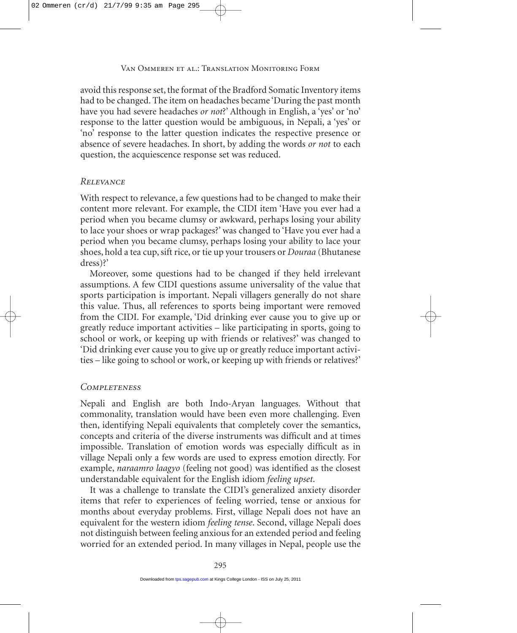avoid this response set, the format of the Bradford Somatic Inventory items had to be changed. The item on headaches became 'During the past month have you had severe headaches *or not*?' Although in English, a 'yes' or 'no' response to the latter question would be ambiguous, in Nepali, a 'yes' or 'no' response to the latter question indicates the respective presence or absence of severe headaches. In short, by adding the words *or not* to each question, the acquiescence response set was reduced.

## *Relevance*

With respect to relevance, a few questions had to be changed to make their content more relevant. For example, the CIDI item 'Have you ever had a period when you became clumsy or awkward, perhaps losing your ability to lace your shoes or wrap packages?' was changed to 'Have you ever had a period when you became clumsy, perhaps losing your ability to lace your shoes, hold a tea cup, sift rice, or tie up your trousers or *Douraa* (Bhutanese dress)?'

Moreover, some questions had to be changed if they held irrelevant assumptions. A few CIDI questions assume universality of the value that sports participation is important. Nepali villagers generally do not share this value. Thus, all references to sports being important were removed from the CIDI. For example, 'Did drinking ever cause you to give up or greatly reduce important activities – like participating in sports, going to school or work, or keeping up with friends or relatives?' was changed to 'Did drinking ever cause you to give up or greatly reduce important activities – like going to school or work, or keeping up with friends or relatives?'

# *Completeness*

Nepali and English are both Indo-Aryan languages. Without that commonality, translation would have been even more challenging. Even then, identifying Nepali equivalents that completely cover the semantics, concepts and criteria of the diverse instruments was difficult and at times impossible. Translation of emotion words was especially difficult as in village Nepali only a few words are used to express emotion directly. For example, *naraamro laagyo* (feeling not good) was identified as the closest understandable equivalent for the English idiom *feeling upset*.

It was a challenge to translate the CIDI's generalized anxiety disorder items that refer to experiences of feeling worried, tense or anxious for months about everyday problems. First, village Nepali does not have an equivalent for the western idiom *feeling tense*. Second, village Nepali does not distinguish between feeling anxious for an extended period and feeling worried for an extended period. In many villages in Nepal, people use the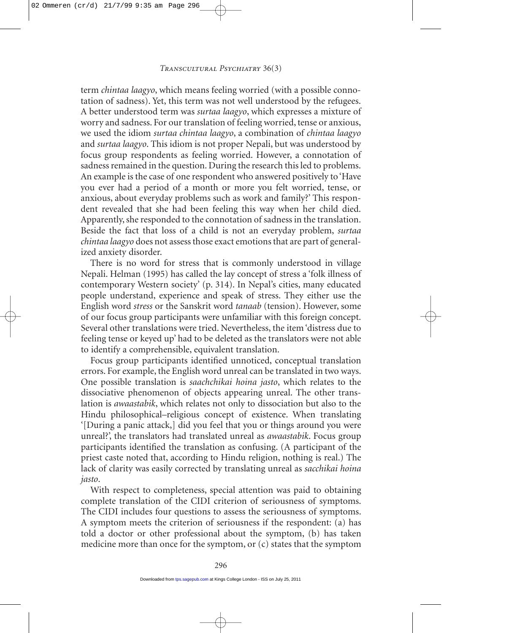term *chintaa laagyo*, which means feeling worried (with a possible connotation of sadness). Yet, this term was not well understood by the refugees. A better understood term was *surtaa laagyo*, which expresses a mixture of worry and sadness. For our translation of feeling worried, tense or anxious, we used the idiom *surtaa chintaa laagyo*, a combination of *chintaa laagyo* and *surtaa laagyo*. This idiom is not proper Nepali, but was understood by focus group respondents as feeling worried. However, a connotation of sadness remained in the question. During the research this led to problems. An example is the case of one respondent who answered positively to 'Have you ever had a period of a month or more you felt worried, tense, or anxious, about everyday problems such as work and family?' This respondent revealed that she had been feeling this way when her child died. Apparently, she responded to the connotation of sadness in the translation. Beside the fact that loss of a child is not an everyday problem, *surtaa chintaa laagyo* does not assess those exact emotions that are part of generalized anxiety disorder.

There is no word for stress that is commonly understood in village Nepali. Helman (1995) has called the lay concept of stress a 'folk illness of contemporary Western society' (p. 314). In Nepal's cities, many educated people understand, experience and speak of stress. They either use the English word *stress* or the Sanskrit word *tanaab* (tension). However, some of our focus group participants were unfamiliar with this foreign concept. Several other translations were tried. Nevertheless, the item 'distress due to feeling tense or keyed up' had to be deleted as the translators were not able to identify a comprehensible, equivalent translation.

Focus group participants identified unnoticed, conceptual translation errors. For example, the English word unreal can be translated in two ways. One possible translation is *saachchikai hoina jasto*, which relates to the dissociative phenomenon of objects appearing unreal. The other translation is *awaastabik*, which relates not only to dissociation but also to the Hindu philosophical–religious concept of existence. When translating '[During a panic attack,] did you feel that you or things around you were unreal?', the translators had translated unreal as *awaastabik*. Focus group participants identified the translation as confusing. (A participant of the priest caste noted that, according to Hindu religion, nothing is real.) The lack of clarity was easily corrected by translating unreal as *sacchikai hoina jasto*.

With respect to completeness, special attention was paid to obtaining complete translation of the CIDI criterion of seriousness of symptoms. The CIDI includes four questions to assess the seriousness of symptoms. A symptom meets the criterion of seriousness if the respondent: (a) has told a doctor or other professional about the symptom, (b) has taken medicine more than once for the symptom, or (c) states that the symptom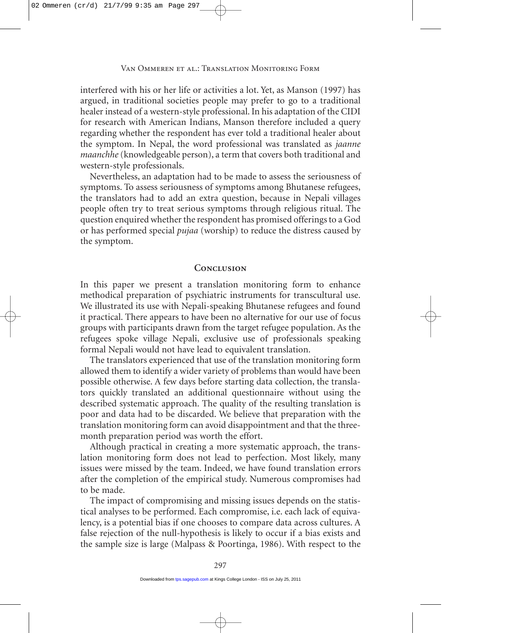interfered with his or her life or activities a lot. Yet, as Manson (1997) has argued, in traditional societies people may prefer to go to a traditional healer instead of a western-style professional. In his adaptation of the CIDI for research with American Indians, Manson therefore included a query regarding whether the respondent has ever told a traditional healer about the symptom. In Nepal, the word professional was translated as *jaanne maanchhe* (knowledgeable person), a term that covers both traditional and western-style professionals.

Nevertheless, an adaptation had to be made to assess the seriousness of symptoms. To assess seriousness of symptoms among Bhutanese refugees, the translators had to add an extra question, because in Nepali villages people often try to treat serious symptoms through religious ritual. The question enquired whether the respondent has promised offerings to a God or has performed special *pujaa* (worship) to reduce the distress caused by the symptom.

#### **Conclusion**

In this paper we present a translation monitoring form to enhance methodical preparation of psychiatric instruments for transcultural use. We illustrated its use with Nepali-speaking Bhutanese refugees and found it practical. There appears to have been no alternative for our use of focus groups with participants drawn from the target refugee population. As the refugees spoke village Nepali, exclusive use of professionals speaking formal Nepali would not have lead to equivalent translation.

The translators experienced that use of the translation monitoring form allowed them to identify a wider variety of problems than would have been possible otherwise. A few days before starting data collection, the translators quickly translated an additional questionnaire without using the described systematic approach. The quality of the resulting translation is poor and data had to be discarded. We believe that preparation with the translation monitoring form can avoid disappointment and that the threemonth preparation period was worth the effort.

Although practical in creating a more systematic approach, the translation monitoring form does not lead to perfection. Most likely, many issues were missed by the team. Indeed, we have found translation errors after the completion of the empirical study. Numerous compromises had to be made.

The impact of compromising and missing issues depends on the statistical analyses to be performed. Each compromise, i.e. each lack of equivalency, is a potential bias if one chooses to compare data across cultures. A false rejection of the null-hypothesis is likely to occur if a bias exists and the sample size is large (Malpass & Poortinga, 1986). With respect to the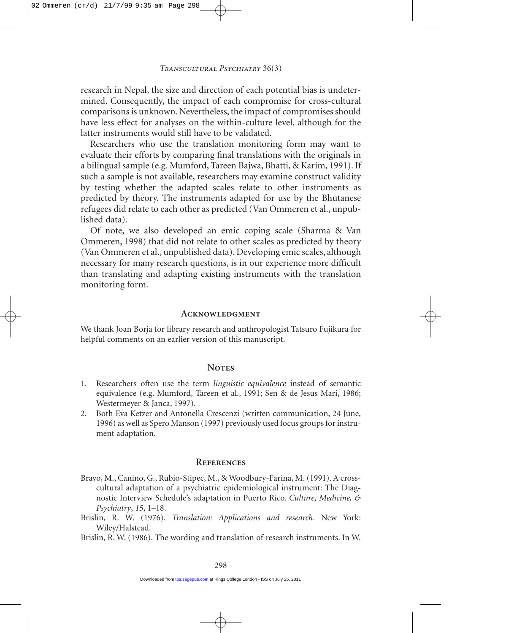research in Nepal, the size and direction of each potential bias is undetermined. Consequently, the impact of each compromise for cross-cultural comparisons is unknown. Nevertheless, the impact of compromises should have less effect for analyses on the within-culture level, although for the latter instruments would still have to be validated.

Researchers who use the translation monitoring form may want to evaluate their efforts by comparing final translations with the originals in a bilingual sample (e.g. Mumford, Tareen Bajwa, Bhatti, & Karim, 1991). If such a sample is not available, researchers may examine construct validity by testing whether the adapted scales relate to other instruments as predicted by theory. The instruments adapted for use by the Bhutanese refugees did relate to each other as predicted (Van Ommeren et al., unpublished data).

Of note, we also developed an emic coping scale (Sharma & Van Ommeren, 1998) that did not relate to other scales as predicted by theory (Van Ommeren et al., unpublished data). Developing emic scales, although necessary for many research questions, is in our experience more difficult than translating and adapting existing instruments with the translation monitoring form.

#### **Acknowledgment**

We thank Joan Borja for library research and anthropologist Tatsuro Fujikura for helpful comments on an earlier version of this manuscript.

#### Notes

- 1. Researchers often use the term *linguistic equivalence* instead of semantic equivalence (e.g. Mumford, Tareen et al., 1991; Sen & de Jesus Mari, 1986; Westermeyer & Janca, 1997).
- 2. Both Eva Ketzer and Antonella Crescenzi (written communication, 24 June, 1996) as well as Spero Manson (1997) previously used focus groups for instrument adaptation.

#### **References**

- Bravo, M., Canino, G., Rubio-Stipec, M., & Woodbury-Farina, M.(1991). A crosscultural adaptation of a psychiatric epidemiological instrument: The Diagnostic Interview Schedule's adaptation in Puerto Rico. *Culture, Medicine, & Psychiatry*, *15*, 1–18.
- Brislin, R. W. (1976). *Translation: Applications and research*. New York: Wiley/Halstead.
- Brislin, R. W. (1986). The wording and translation of research instruments. In W.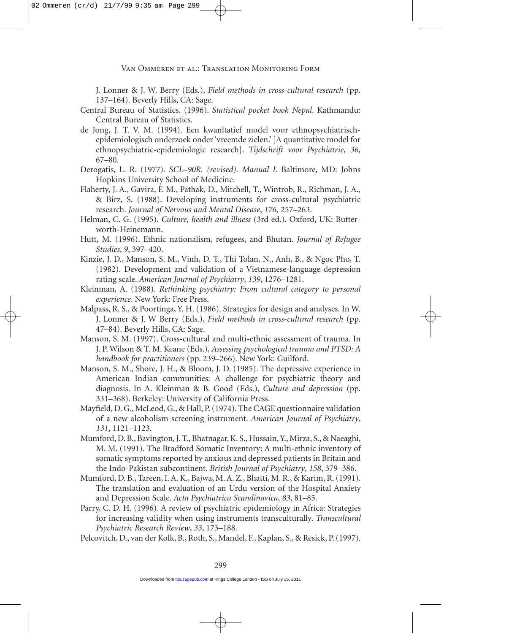J. Lonner & J. W. Berry (Eds.), *Field methods in cross-cultural research* (pp. 137–164). Beverly Hills, CA: Sage.

- Central Bureau of Statistics. (1996). *Statistical pocket book Nepal*. Kathmandu: Central Bureau of Statistics.
- de Jong, J. T. V. M. (1994). Een kwanltatief model voor ethnopsychiatrischepidemiologisch onderzoek onder 'vreemde zielen.' [A quantitative model for ethnopsychiatric-epidemiologic research]. *Tijdschrift voor Psychiatrie*, *36*, 67–80.
- Derogatis, L. R. (1977). *SCL–90R. (revised). Manual I*. Baltimore, MD: Johns Hopkins University School of Medicine.
- Flaherty, J. A., Gavira, F. M., Pathak, D., Mitchell, T., Wintrob, R., Richman, J. A., & Birz, S. (1988). Developing instruments for cross-cultural psychiatric research. *Journal of Nervous and Mental Disease*, *176,* 257–263.
- Helman, C. G. (1995). *Culture, health and illness* (3rd ed.). Oxford, UK: Butterworth-Heinemann.
- Hutt, M. (1996). Ethnic nationalism, refugees, and Bhutan. *Journal of Refugee Studies*, *9*, 397–420.
- Kinzie, J. D., Manson, S. M., Vinh, D. T., Thi Tolan, N., Anh, B., & Ngoc Pho, T. (1982). Development and validation of a Vietnamese-language depression rating scale. *American Journal of Psychiatry*, *139*, 1276–1281.
- Kleinman, A. (1988). *Rethinking psychiatry: From cultural category to personal experience*. New York: Free Press.
- Malpass, R. S., & Poortinga, Y. H. (1986). Strategies for design and analyses. In W. J. Lonner & J. W Berry (Eds.), *Field methods in cross-cultural research* (pp. 47–84). Beverly Hills, CA: Sage.
- Manson, S. M. (1997). Cross-cultural and multi-ethnic assessment of trauma. In J. P. Wilson & T. M. Keane (Eds.), *Assessing psychological trauma and PTSD: A handbook for practitioners* (pp. 239–266). New York: Guilford.
- Manson, S. M., Shore, J. H., & Bloom, J. D. (1985). The depressive experience in American Indian communities: A challenge for psychiatric theory and diagnosis. In A. Kleinman & B. Good (Eds.), *Culture and depression* (pp. 331–368). Berkeley: University of California Press.
- Mayfield, D. G., McLeod, G., & Hall, P. (1974). The CAGE questionnaire validation of a new alcoholism screening instrument. *American Journal of Psychiatry*, *131*, 1121–1123.
- Mumford, D. B., Bavington, J. T., Bhatnagar,K. S., Hussain,Y., Mirza, S., & Naeaghi, M. M. (1991). The Bradford Somatic Inventory: A multi-ethnic inventory of somatic symptoms reported by anxious and depressed patients in Britain and the Indo-Pakistan subcontinent. *British Journal of Psychiatry*, *158*, 379–386.
- Mumford, D. B., Tareen, I. A. K., Bajwa, M.A. Z., Bhatti, M. R., & Karim, R. (1991). The translation and evaluation of an Urdu version of the Hospital Anxiety and Depression Scale. *Acta Psychiatrica Scandinavica*, *83*, 81–85.
- Parry, C. D. H. (1996). A review of psychiatric epidemiology in Africa: Strategies for increasing validity when using instruments transculturally*. Transcultural Psychiatric Research Review*, *33*, 173–188.
- Pelcovitch, D., van der Kolk, B., Roth, S., Mandel, F., Kaplan, S., & Resick, P. (1997).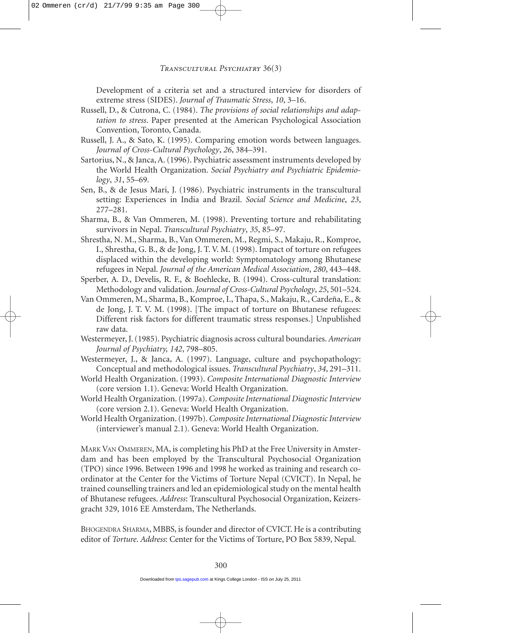<span id="page-16-0"></span>Development of a criteria set and a structured interview for disorders of extreme stress (SIDES). *Journal of Traumatic Stress*, *10*, 3–16.

- Russell, D., & Cutrona, C. (1984). *The provisions of social relationships and adaptation to stress*. Paper presented at the American Psychological Association Convention, Toronto, Canada.
- Russell, J. A., & Sato, K. (1995). Comparing emotion words between languages. *Journal of Cross-Cultural Psychology*, *26*, 384–391.
- Sartorius, N., & Janca, A. (1996). Psychiatric assessment instruments developed by the World Health Organization. *Social Psychiatry and Psychiatric Epidemiology*, *31*, 55–69.
- Sen, B., & de Jesus Mari, J. (1986). Psychiatric instruments in the transcultural setting: Experiences in India and Brazil. *Social Science and Medicine*, *23*, 277–281.
- Sharma, B., & Van Ommeren, M. (1998). Preventing torture and rehabilitating survivors in Nepal. *Transcultural Psychiatry*, *35*, 85–97.
- Shrestha, N. M., Sharma, B., Van Ommeren, M., Regmi, S., Makaju, R., Komproe, I., Shrestha, G. B., & de Jong, J. T. V. M. (1998). Impact of torture on refugees displaced within the developing world: Symptomatology among Bhutanese refugees in Nepal. *Journal of the American Medical Association*, *280*, 443–448.
- Sperber, A. D., Develis, R. F., & Boehlecke, B. (1994). Cross-cultural translation: Methodology and validation. *Journal of Cross-Cultural Psychology*, *25*, 501–524.
- Van Ommeren, M., Sharma, B., Komproe, I., Thapa, S., Makaju, R., Cardeña, E., & de Jong, J. T. V. M. (1998). [The impact of torture on Bhutanese refugees: Different risk factors for different traumatic stress responses.] Unpublished raw data.
- Westermeyer, J. (1985). Psychiatric diagnosis across cultural boundaries. *American Journal of Psychiatry, 142*, 798–805.
- Westermeyer, J., & Janca, A. (1997). Language, culture and psychopathology: Conceptual and methodological issues. *Transcultural Psychiatry*, *34*, 291–311.
- World Health Organization. (1993). *Composite International Diagnostic Interview* (core version 1.1). Geneva: World Health Organization.
- World Health Organization. (1997a). *Composite International Diagnostic Interview* (core version 2.1). Geneva: World Health Organization.
- World Health Organization. (1997b).*Composite International Diagnostic Interview* (interviewer's manual 2.1). Geneva: World Health Organization.

MARK VAN OMMEREN, MA, is completing his PhD at the Free University in Amsterdam and has been employed by the Transcultural Psychosocial Organization (TPO) since 1996. Between 1996 and 1998 he worked as training and research coordinator at the Center for the Victims of Torture Nepal (CVICT). In Nepal, he trained counselling trainers and led an epidemiological study on the mental health of Bhutanese refugees. *Address*: Transcultural Psychosocial Organization, Keizersgracht 329, 1016 EE Amsterdam, The Netherlands.

BHOGENDRA SHARMA, MBBS, is founder and director of CVICT. He is a contributing editor of *Torture*. *Address*: Center for the Victims of Torture, PO Box 5839, Nepal.